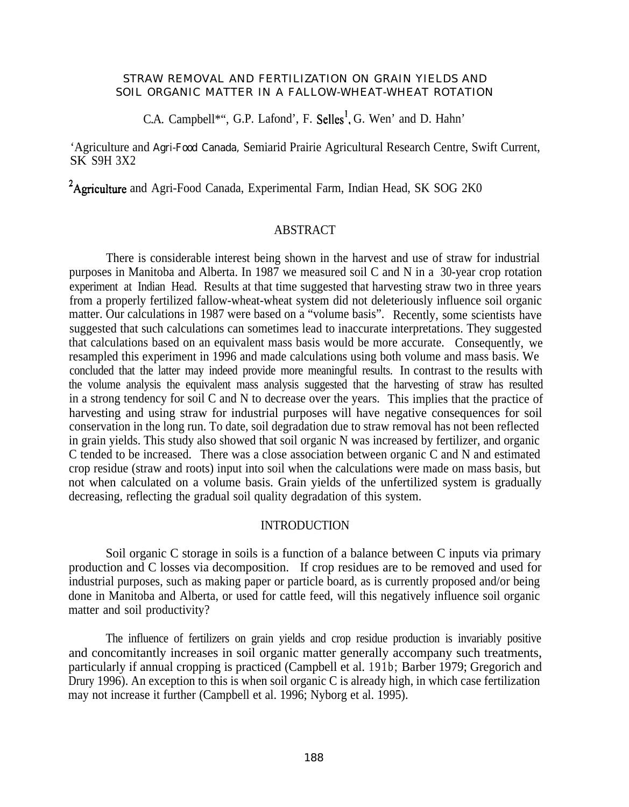## STRAW REMOVAL AND FERTILIZATION ON GRAIN YIELDS AND SOIL ORGANIC MATTER IN A FALLOW-WHEAT-WHEAT ROTATION

C.A. Campbell\*", G.P. Lafond', F. Selles', G. Wen' and D. Hahn'

'Agriculture and Agri-Food Canada, Semiarid Prairie Agricultural Research Centre, Swift Current, SK S9H 3X2

<sup>2</sup>Agriculture and Agri-Food Canada, Experimental Farm, Indian Head, SK SOG 2K0

## ABSTRACT

There is considerable interest being shown in the harvest and use of straw for industrial purposes in Manitoba and Alberta. In 1987 we measured soil C and N in a 30-year crop rotation experiment at Indian Head. Results at that time suggested that harvesting straw two in three years from a properly fertilized fallow-wheat-wheat system did not deleteriously influence soil organic matter. Our calculations in 1987 were based on a "volume basis". Recently, some scientists have suggested that such calculations can sometimes lead to inaccurate interpretations. They suggested that calculations based on an equivalent mass basis would be more accurate. Consequently, we resampled this experiment in 1996 and made calculations using both volume and mass basis. We concluded that the latter may indeed provide more meaningful results. In contrast to the results with the volume analysis the equivalent mass analysis suggested that the harvesting of straw has resulted in a strong tendency for soil C and N to decrease over the years. This implies that the practice of harvesting and using straw for industrial purposes will have negative consequences for soil conservation in the long run. To date, soil degradation due to straw removal has not been reflected in grain yields. This study also showed that soil organic N was increased by fertilizer, and organic C tended to be increased. There was a close association between organic C and N and estimated crop residue (straw and roots) input into soil when the calculations were made on mass basis, but not when calculated on a volume basis. Grain yields of the unfertilized system is gradually decreasing, reflecting the gradual soil quality degradation of this system.

# INTRODUCTION

Soil organic C storage in soils is a function of a balance between C inputs via primary production and C losses via decomposition. If crop residues are to be removed and used for industrial purposes, such as making paper or particle board, as is currently proposed and/or being done in Manitoba and Alberta, or used for cattle feed, will this negatively influence soil organic matter and soil productivity?

The influence of fertilizers on grain yields and crop residue production is invariably positive and concomitantly increases in soil organic matter generally accompany such treatments, particularly if annual cropping is practiced (Campbell et al. 191b; Barber 1979; Gregorich and Drury 1996). An exception to this is when soil organic C is already high, in which case fertilization may not increase it further (Campbell et al. 1996; Nyborg et al. 1995).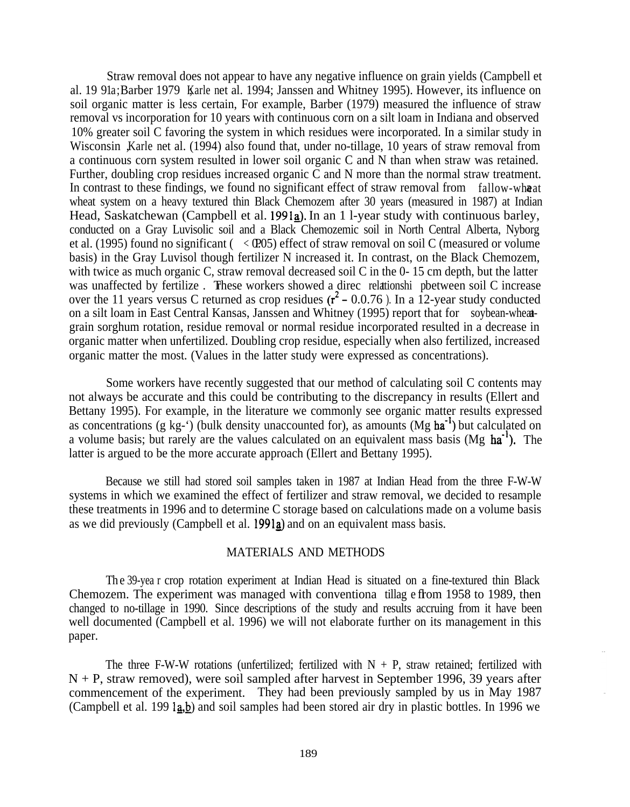Straw removal does not appear to have any negative influence on grain yields (Campbell et al. 19 91a; Barber 1979 Karle net al. 1994; Janssen and Whitney 1995). However, its influence on soil organic matter is less certain, For example, Barber (1979) measured the influence of straw removal vs incorporation for 10 years with continuous corn on a silt loam in Indiana and observed 10% greater soil C favoring the system in which residues were incorporated. In a similar study in Wisconsin , Karle net al. (1994) also found that, under no-tillage, 10 years of straw removal from a continuous corn system resulted in lower soil organic C and N than when straw was retained. Further, doubling crop residues increased organic C and N more than the normal straw treatment. In contrast to these findings, we found no significant effect of straw removal from fallow-wheat wheat system on a heavy textured thin Black Chemozem after 30 years (measured in 1987) at Indian Head, Saskatchewan (Campbell et al. 1991a). In an 1 l-year study with continuous barley, conducted on a Gray Luvisolic soil and a Black Chemozemic soil in North Central Alberta, Nyborg et al. (1995) found no significant ( $\langle$  CPO5) effect of straw removal on soil C (measured or volume basis) in the Gray Luvisol though fertilizer N increased it. In contrast, on the Black Chemozem, with twice as much organic C, straw removal decreased soil C in the 0-15 cm depth, but the latter was unaffected by fertilize. These workers showed a direc relationshi pbetween soil C increase over the 11 years versus C returned as crop residues  $(r^2 - 0.0.76)$ . In a 12-year study conducted on a silt loam in East Central Kansas, Janssen and Whitney (1995) report that for soybean-wheatgrain sorghum rotation, residue removal or normal residue incorporated resulted in a decrease in organic matter when unfertilized. Doubling crop residue, especially when also fertilized, increased organic matter the most. (Values in the latter study were expressed as concentrations).

Some workers have recently suggested that our method of calculating soil C contents may not always be accurate and this could be contributing to the discrepancy in results (Ellert and Bettany 1995). For example, in the literature we commonly see organic matter results expressed as concentrations (g kg-') (bulk density unaccounted for), as amounts (Mg  $ha^{-1}$ ) but calculated on a volume basis; but rarely are the values calculated on an equivalent mass basis (Mg  $ha^{-1}$ ). The latter is argued to be the more accurate approach (Ellert and Bettany 1995).

Because we still had stored soil samples taken in 1987 at Indian Head from the three F-W-W systems in which we examined the effect of fertilizer and straw removal, we decided to resample these treatments in 1996 and to determine C storage based on calculations made on a volume basis as we did previously (Campbell et al. 1991a) and on an equivalent mass basis.

## MATERIALS AND METHODS

Th e 39-yea r crop rotation experiment at Indian Head is situated on a fine-textured thin Black Chemozem. The experiment was managed with conventiona tillag effom 1958 to 1989, then changed to no-tillage in 1990. Since descriptions of the study and results accruing from it have been well documented (Campbell et al. 1996) we will not elaborate further on its management in this paper.

The three F-W-W rotations (unfertilized; fertilized with  $N + P$ , straw retained; fertilized with  $N + P$ , straw removed), were soil sampled after harvest in September 1996, 39 years after commencement of the experiment. They had been previously sampled by us in May 1987 (Campbell et al. 199  $(a,b)$  and soil samples had been stored air dry in plastic bottles. In 1996 we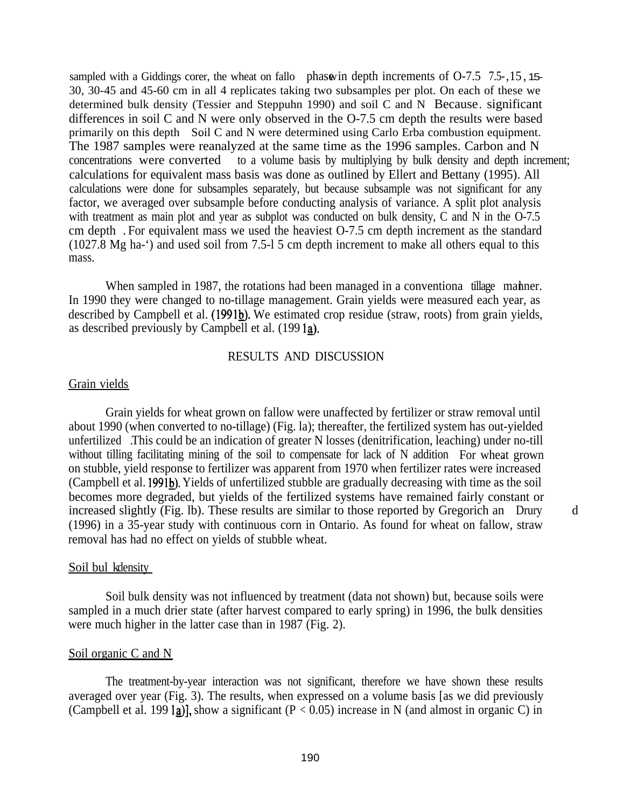sampled with a Giddings corer, the wheat on fallo phase in depth increments of  $O-7.5$  7.5-, 15, 15-30, 30-45 and 45-60 cm in all 4 replicates taking two subsamples per plot. On each of these we determined bulk density (Tessier and Steppuhn 1990) and soil C and N Because. significant differences in soil C and N were only observed in the O-7.5 cm depth the results were based primarily on this depth Soil C and N were determined using Carlo Erba combustion equipment. The 1987 samples were reanalyzed at the same time as the 1996 samples. Carbon and N concentrations were converted to a volume basis by multiplying by bulk density and depth increment; calculations for equivalent mass basis was done as outlined by Ellert and Bettany (1995). All calculations were done for subsamples separately, but because subsample was not significant for any factor, we averaged over subsample before conducting analysis of variance. A split plot analysis with treatment as main plot and year as subplot was conducted on bulk density, C and N in the O-7.5 cm depth . For equivalent mass we used the heaviest O-7.5 cm depth increment as the standard (1027.8 Mg ha-') and used soil from 7.5-l 5 cm depth increment to make all others equal to this mass.

When sampled in 1987, the rotations had been managed in a conventiona tillage manner. In 1990 they were changed to no-tillage management. Grain yields were measured each year, as described by Campbell et al. (1991b). We estimated crop residue (straw, roots) from grain yields, as described previously by Campbell et al. (199 1aJ.

### RESULTS AND DISCUSSION

#### Grain vields

Grain yields for wheat grown on fallow were unaffected by fertilizer or straw removal until about 1990 (when converted to no-tillage) (Fig. la); thereafter, the fertilized system has out-yielded unfertilized .This could be an indication of greater N losses (denitrification, leaching) under no-till without tilling facilitating mining of the soil to compensate for lack of N addition For wheat grown on stubble, yield response to fertilizer was apparent from 1970 when fertilizer rates were increased (Campbell et al. 1991b). Yields of unfertilized stubble are gradually decreasing with time as the soil becomes more degraded, but yields of the fertilized systems have remained fairly constant or increased slightly (Fig. 1b). These results are similar to those reported by Gregorich an Drury d (1996) in a 35-year study with continuous corn in Ontario. As found for wheat on fallow, straw removal has had no effect on yields of stubble wheat.

## Soil bul k density

Soil bulk density was not influenced by treatment (data not shown) but, because soils were sampled in a much drier state (after harvest compared to early spring) in 1996, the bulk densities were much higher in the latter case than in 1987 (Fig. 2).

### Soil organic C and N

The treatment-by-year interaction was not significant, therefore we have shown these results averaged over year (Fig. 3). The results, when expressed on a volume basis [as we did previously (Campbell et al. 199 la)], show a significant ( $P < 0.05$ ) increase in N (and almost in organic C) in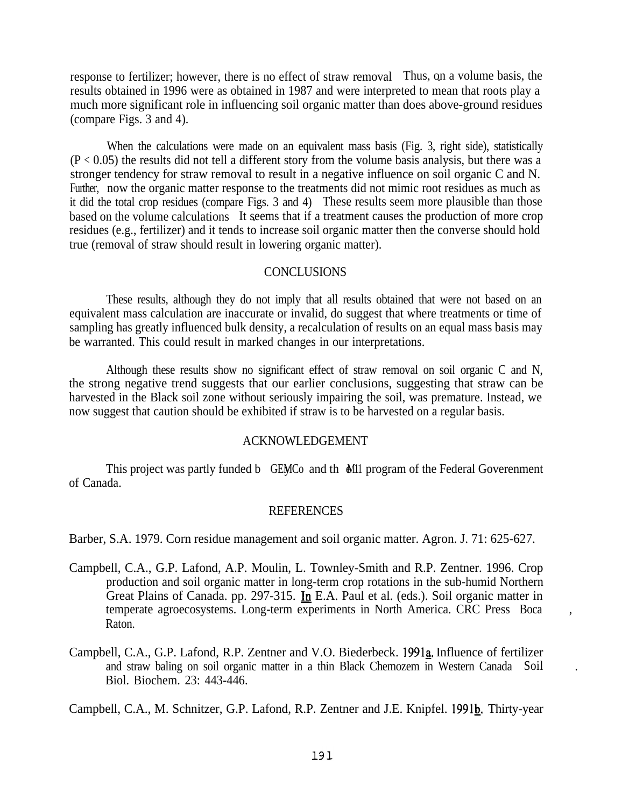response to fertilizer; however, there is no effect of straw removal Thus, on a volume basis, the results obtained in 1996 were as obtained in 1987 and were interpreted to mean that roots play a much more significant role in influencing soil organic matter than does above-ground residues (compare Figs. 3 and 4).

When the calculations were made on an equivalent mass basis (Fig. 3, right side), statistically  $(P < 0.05)$  the results did not tell a different story from the volume basis analysis, but there was a stronger tendency for straw removal to result in a negative influence on soil organic C and N. Further, now the organic matter response to the treatments did not mimic root residues as much as it did the total crop residues (compare Figs. 3 and 4) These results seem more plausible than those based on the volume calculations It seems that if a treatment causes the production of more crop residues (e.g., fertilizer) and it tends to increase soil organic matter then the converse should hold true (removal of straw should result in lowering organic matter).

### **CONCLUSIONS**

These results, although they do not imply that all results obtained that were not based on an equivalent mass calculation are inaccurate or invalid, do suggest that where treatments or time of sampling has greatly influenced bulk density, a recalculation of results on an equal mass basis may be warranted. This could result in marked changes in our interpretations.

Although these results show no significant effect of straw removal on soil organic C and N, the strong negative trend suggests that our earlier conclusions, suggesting that straw can be harvested in the Black soil zone without seriously impairing the soil, was premature. Instead, we now suggest that caution should be exhibited if straw is to be harvested on a regular basis.

#### ACKNOWLEDGEMENT

This project was partly funded b GEMCo and th et M11 program of the Federal Goverenment of Canada.

#### **REFERENCES**

Barber, S.A. 1979. Corn residue management and soil organic matter. Agron. J. 71: 625-627.

- Campbell, C.A., G.P. Lafond, A.P. Moulin, L. Townley-Smith and R.P. Zentner. 1996. Crop production and soil organic matter in long-term crop rotations in the sub-humid Northern Great Plains of Canada. pp. 297-315. h E.A. Paul et al. (eds.). Soil organic matter in temperate agroecosystems. Long-term experiments in North America. CRC Press Boca , Raton.
- Campbell, C.A., G.P. Lafond, R.P. Zentner and V.O. Biederbeck. 1991a. Influence of fertilizer and straw baling on soil organic matter in a thin Black Chemozem in Western Canada Soil . Biol. Biochem. 23: 443-446.

Campbell, C.A., M. Schnitzer, G.P. Lafond, R.P. Zentner and J.E. Knipfel. 1991b. Thirty-year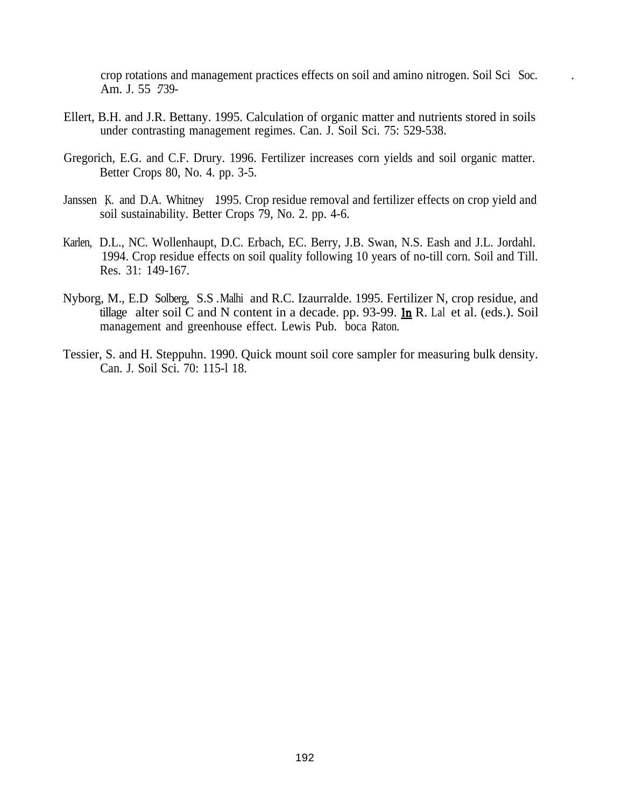crop rotations and management practices effects on soil and amino nitrogen. Soil Sci Soc. . Am. J. 55 : 739-

- Ellert, B.H. and J.R. Bettany. 1995. Calculation of organic matter and nutrients stored in soils under contrasting management regimes. Can. J. Soil Sci. 75: 529-538.
- Gregorich, E.G. and C.F. Drury. 1996. Fertilizer increases corn yields and soil organic matter. Better Crops 80, No. 4. pp. 3-5.
- Janssen K. and D.A. Whitney 1995. Crop residue removal and fertilizer effects on crop yield and soil sustainability. Better Crops 79, No. 2. pp. 4-6.
- Karlen, D.L., NC. Wollenhaupt, D.C. Erbach, EC. Berry, J.B. Swan, N.S. Eash and J.L. Jordahl. 1994. Crop residue effects on soil quality following 10 years of no-till corn. Soil and Till. Res. 31: 149-167.
- Nyborg, M., E.D Solberg, S.S. Malhi and R.C. Izaurralde. 1995. Fertilizer N, crop residue, and tillage alter soil  $\check{C}$  and N content in a decade. pp. 93-99. In R. Lal et al. (eds.). Soil management and greenhouse effect. Lewis Pub. boca Raton.
- Tessier, S. and H. Steppuhn. 1990. Quick mount soil core sampler for measuring bulk density. Can. J. Soil Sci. 70: 115-l 18.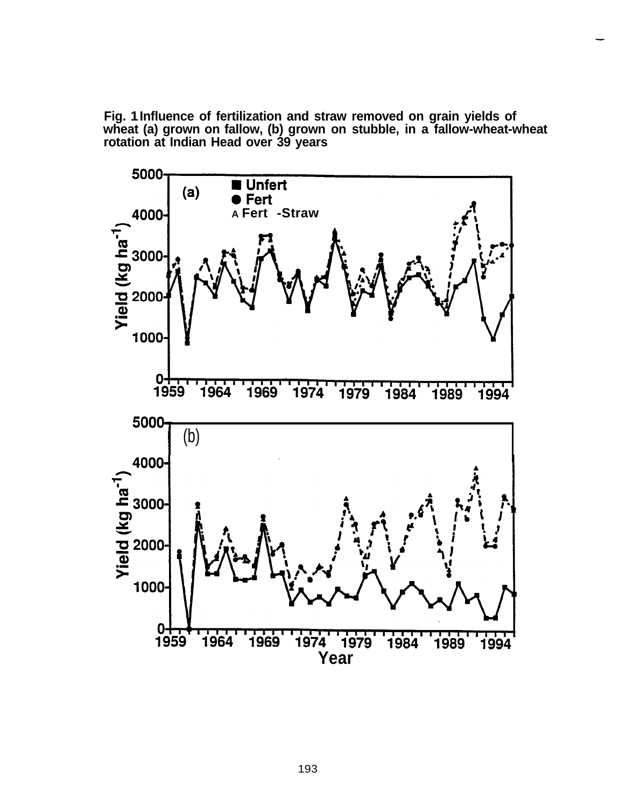**Fig. 1 Influence of fertilization and straw removed on grain yields of wheat (a) grown on fallow, (b) grown on stubble, in a fallow-wheat-wheat rotation at Indian Head over 39 years**

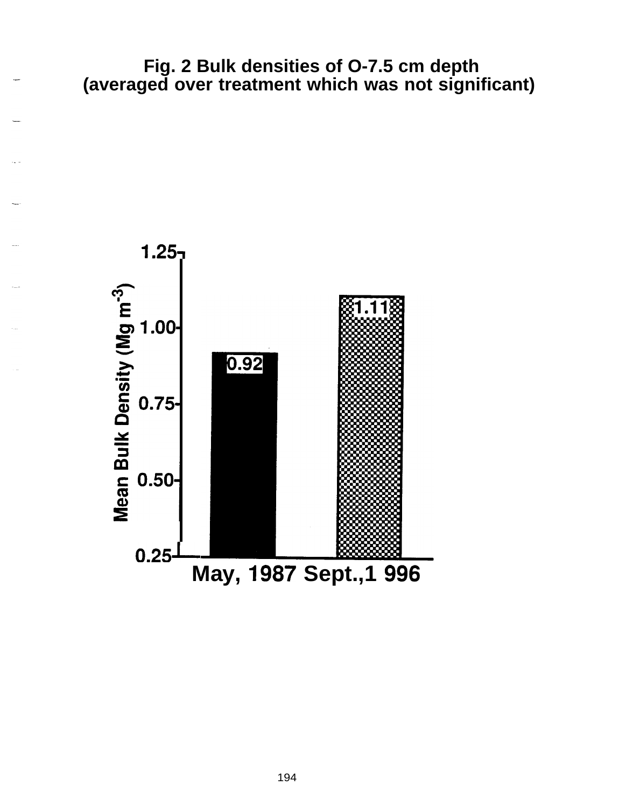**Fig. 2 Bulk densities of O-7.5 cm depth (averaged over treatment which was not significant)**



194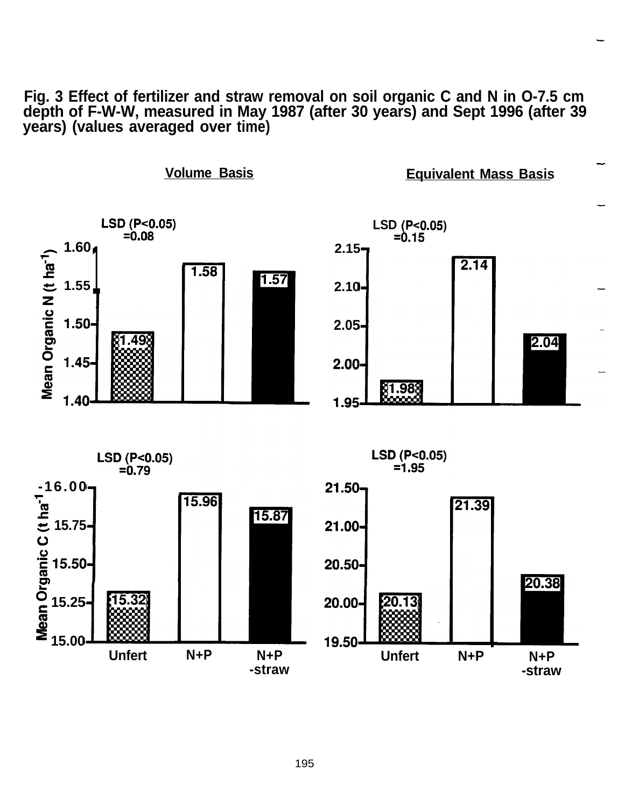**Fig. 3 Effect of fertilizer and straw removal on soil organic C and N in O-7.5 cm depth of F-W-W, measured in May 1987 (after 30 years) and Sept 1996 (after 39 years) (values averaged over time)**